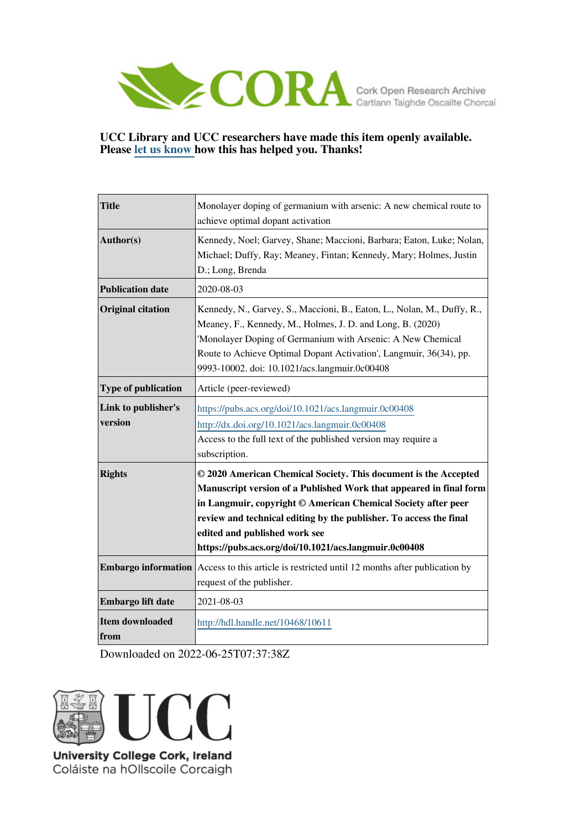

## **UCC Library and UCC researchers have made this item openly available. Please [let us know h](https://libguides.ucc.ie/openaccess/impact?suffix=10611&title=Monolayer doping of germanium with arsenic: A new chemical route to achieve optimal dopant activation)ow this has helped you. Thanks!**

| <b>Title</b>                   | Monolayer doping of germanium with arsenic: A new chemical route to<br>achieve optimal dopant activation                                                                                                                                                                                                                                                               |  |  |  |
|--------------------------------|------------------------------------------------------------------------------------------------------------------------------------------------------------------------------------------------------------------------------------------------------------------------------------------------------------------------------------------------------------------------|--|--|--|
| Author(s)                      | Kennedy, Noel; Garvey, Shane; Maccioni, Barbara; Eaton, Luke; Nolan,<br>Michael; Duffy, Ray; Meaney, Fintan; Kennedy, Mary; Holmes, Justin<br>D.; Long, Brenda                                                                                                                                                                                                         |  |  |  |
| <b>Publication date</b>        | 2020-08-03                                                                                                                                                                                                                                                                                                                                                             |  |  |  |
| <b>Original citation</b>       | Kennedy, N., Garvey, S., Maccioni, B., Eaton, L., Nolan, M., Duffy, R.,<br>Meaney, F., Kennedy, M., Holmes, J. D. and Long, B. (2020)<br>'Monolayer Doping of Germanium with Arsenic: A New Chemical<br>Route to Achieve Optimal Dopant Activation', Langmuir, 36(34), pp.<br>9993-10002. doi: 10.1021/acs.langmuir.0c00408                                            |  |  |  |
| Type of publication            | Article (peer-reviewed)                                                                                                                                                                                                                                                                                                                                                |  |  |  |
| Link to publisher's<br>version | https://pubs.acs.org/doi/10.1021/acs.langmuir.0c00408<br>http://dx.doi.org/10.1021/acs.langmuir.0c00408<br>Access to the full text of the published version may require a<br>subscription.                                                                                                                                                                             |  |  |  |
| <b>Rights</b>                  | © 2020 American Chemical Society. This document is the Accepted<br>Manuscript version of a Published Work that appeared in final form<br>in Langmuir, copyright © American Chemical Society after peer<br>review and technical editing by the publisher. To access the final<br>edited and published work see<br>https://pubs.acs.org/doi/10.1021/acs.langmuir.0c00408 |  |  |  |
|                                | <b>Embargo information</b> Access to this article is restricted until 12 months after publication by<br>request of the publisher.                                                                                                                                                                                                                                      |  |  |  |
| Embargo lift date              | 2021-08-03                                                                                                                                                                                                                                                                                                                                                             |  |  |  |
| <b>Item downloaded</b><br>from | http://hdl.handle.net/10468/10611                                                                                                                                                                                                                                                                                                                                      |  |  |  |

Downloaded on 2022-06-25T07:37:38Z



Coláiste na hOllscoile Corcaigh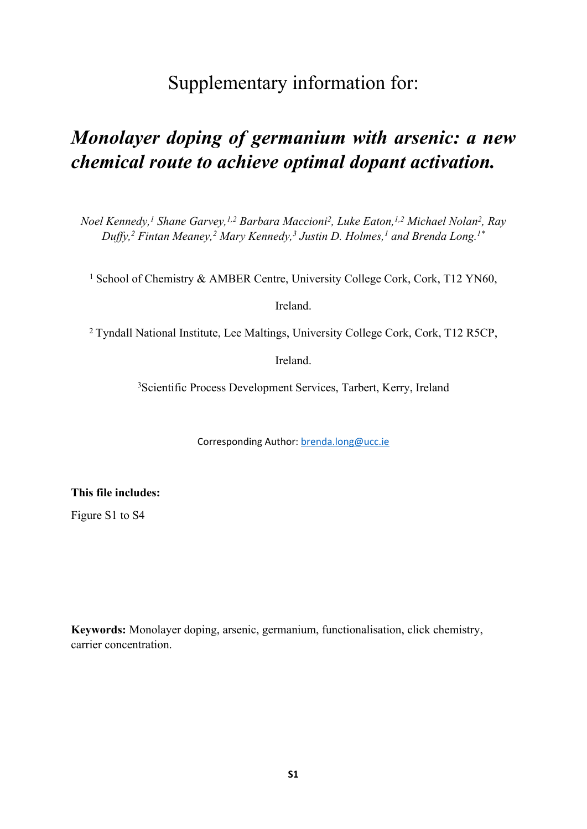## Supplementary information for:

## *Monolayer doping of germanium with arsenic: a new chemical route to achieve optimal dopant activation.*

*Noel Kennedy,<sup>1</sup> Shane Garvey,1,2 Barbara Maccioni<sup>2</sup> , Luke Eaton,1,2 Michael Nolan<sup>2</sup> , Ray Duffy,<sup>2</sup> Fintan Meaney,<sup>2</sup> Mary Kennedy,<sup>3</sup> Justin D. Holmes,<sup>1</sup> and Brenda Long.1\**

<sup>1</sup> School of Chemistry & AMBER Centre, University College Cork, Cork, T12 YN60,

Ireland.

<sup>2</sup> Tyndall National Institute, Lee Maltings, University College Cork, Cork, T12 R5CP,

Ireland.

<sup>3</sup>Scientific Process Development Services, Tarbert, Kerry, Ireland

Corresponding Author: [brenda.long@ucc.ie](mailto:brenda.long@ucc.ie)

**This file includes:**

Figure S1 to S4

**Keywords:** Monolayer doping, arsenic, germanium, functionalisation, click chemistry, carrier concentration.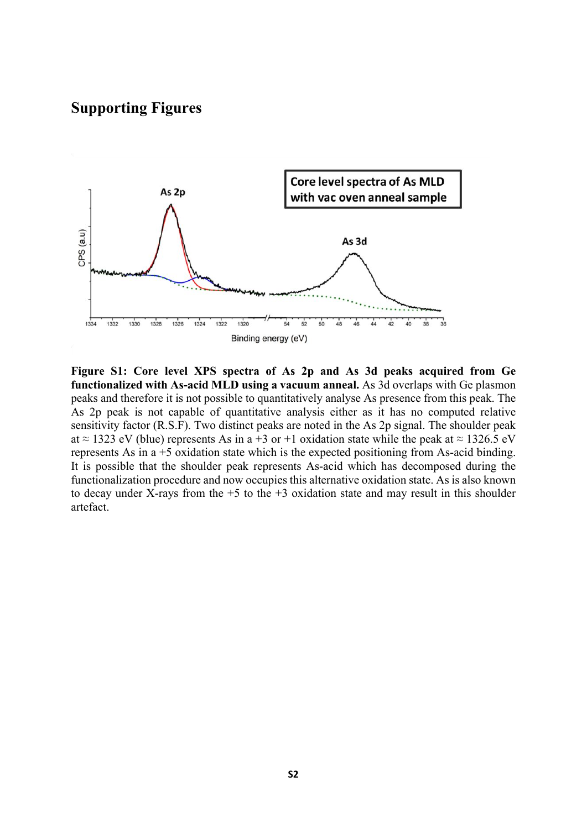## **Supporting Figures**



**Figure S1: Core level XPS spectra of As 2p and As 3d peaks acquired from Ge functionalized with As-acid MLD using a vacuum anneal.** As 3d overlaps with Ge plasmon peaks and therefore it is not possible to quantitatively analyse As presence from this peak. The As 2p peak is not capable of quantitative analysis either as it has no computed relative sensitivity factor (R.S.F). Two distinct peaks are noted in the As 2p signal. The shoulder peak at  $\approx$  1323 eV (blue) represents As in a +3 or +1 oxidation state while the peak at  $\approx$  1326.5 eV represents As in a +5 oxidation state which is the expected positioning from As-acid binding. It is possible that the shoulder peak represents As-acid which has decomposed during the functionalization procedure and now occupies this alternative oxidation state. As is also known to decay under X-rays from the  $+5$  to the  $+3$  oxidation state and may result in this shoulder artefact.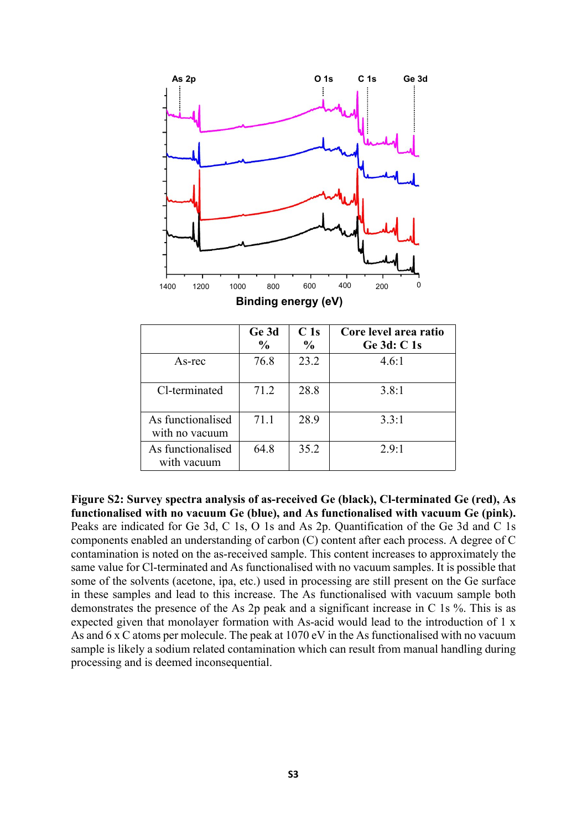

|                                     | Ge 3d<br>$\frac{0}{0}$ | C <sub>1s</sub><br>$\frac{0}{0}$ | Core level area ratio<br>Ge 3d: C 1s |
|-------------------------------------|------------------------|----------------------------------|--------------------------------------|
| As-rec                              | 76.8                   | 23.2                             | 4.6:1                                |
| Cl-terminated                       | 71.2                   | 28.8                             | 3.8:1                                |
| As functionalised<br>with no vacuum | 71.1                   | 28.9                             | 3.3:1                                |
| As functionalised<br>with vacuum    | 64.8                   | 35.2                             | 2.9:1                                |

**Figure S2: Survey spectra analysis of as-received Ge (black), Cl-terminated Ge (red), As functionalised with no vacuum Ge (blue), and As functionalised with vacuum Ge (pink).**  Peaks are indicated for Ge 3d, C 1s, O 1s and As 2p. Quantification of the Ge 3d and C 1s components enabled an understanding of carbon (C) content after each process. A degree of C contamination is noted on the as-received sample. This content increases to approximately the same value for Cl-terminated and As functionalised with no vacuum samples. It is possible that some of the solvents (acetone, ipa, etc.) used in processing are still present on the Ge surface in these samples and lead to this increase. The As functionalised with vacuum sample both demonstrates the presence of the As 2p peak and a significant increase in C 1s %. This is as expected given that monolayer formation with As-acid would lead to the introduction of 1 x As and 6 x C atoms per molecule. The peak at 1070 eV in the As functionalised with no vacuum sample is likely a sodium related contamination which can result from manual handling during processing and is deemed inconsequential.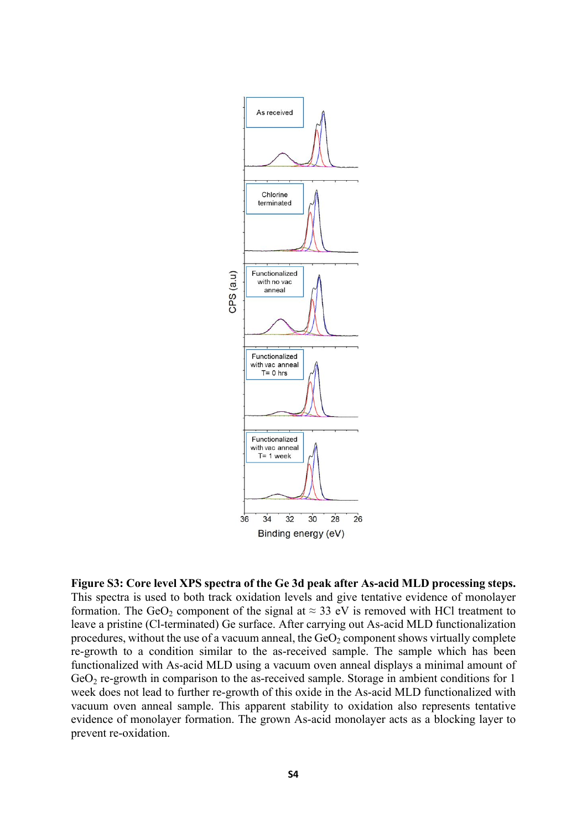

**Figure S3: Core level XPS spectra of the Ge 3d peak after As-acid MLD processing steps.**  This spectra is used to both track oxidation levels and give tentative evidence of monolayer formation. The GeO<sub>2</sub> component of the signal at  $\approx$  33 eV is removed with HCl treatment to leave a pristine (Cl-terminated) Ge surface. After carrying out As-acid MLD functionalization procedures, without the use of a vacuum anneal, the  $GeO<sub>2</sub>$  component shows virtually complete re-growth to a condition similar to the as-received sample. The sample which has been functionalized with As-acid MLD using a vacuum oven anneal displays a minimal amount of  $GeO<sub>2</sub>$  re-growth in comparison to the as-received sample. Storage in ambient conditions for 1 week does not lead to further re-growth of this oxide in the As-acid MLD functionalized with vacuum oven anneal sample. This apparent stability to oxidation also represents tentative evidence of monolayer formation. The grown As-acid monolayer acts as a blocking layer to prevent re-oxidation.